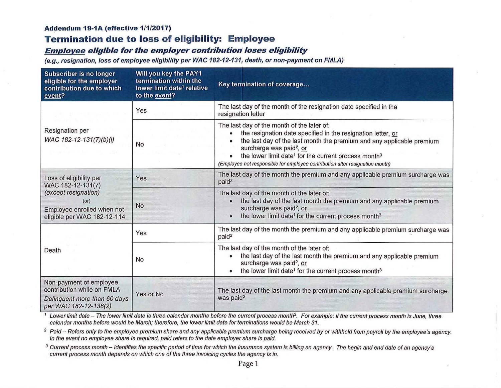#### **Addendum 19-1A (effective 1/1/2017)**

## **Termination due to loss of eligibility: Employee**

## **Employee eligible for the employer contribution' loses eligibility**

(e.g., resignation, loss of employee eligibility per WAC 182-12-131, death, or non-payment on FMLA)

| Subscriber is no longer<br>eligible for the employer<br>contribution due to which<br>event?                                               | Will you key the PAY1<br>termination within the<br>lower limit date <sup>1</sup> relative<br>to the event? | Key termination of coverage                                                                                                                                                                                                                                                                                                                                                                              |  |
|-------------------------------------------------------------------------------------------------------------------------------------------|------------------------------------------------------------------------------------------------------------|----------------------------------------------------------------------------------------------------------------------------------------------------------------------------------------------------------------------------------------------------------------------------------------------------------------------------------------------------------------------------------------------------------|--|
| Resignation per<br>WAC 182-12-131(7)(b)(i)                                                                                                | Yes                                                                                                        | The last day of the month of the resignation date specified in the<br>resignation letter                                                                                                                                                                                                                                                                                                                 |  |
|                                                                                                                                           | <b>No</b>                                                                                                  | The last day of the month of the later of:<br>the resignation date specified in the resignation letter, or<br>$\bullet$<br>the last day of the last month the premium and any applicable premium<br>surcharge was paid <sup>2</sup> , or<br>the lower limit date <sup>1</sup> for the current process month <sup>3</sup><br>(Employee not responsible for employee contribution after resignation month) |  |
| Loss of eligibility per<br>WAC 182-12-131(7)<br>(except resignation)<br>(or)<br>Employee enrolled when not<br>eligible per WAC 182-12-114 | Yes                                                                                                        | The last day of the month the premium and any applicable premium surcharge was<br>paid <sup>2</sup>                                                                                                                                                                                                                                                                                                      |  |
|                                                                                                                                           | No                                                                                                         | The last day of the month of the later of:<br>the last day of the last month the premium and any applicable premium<br>surcharge was paid <sup>2</sup> , or<br>the lower limit date <sup>1</sup> for the current process month <sup>3</sup><br>$\bullet$                                                                                                                                                 |  |
| Death                                                                                                                                     | Yes                                                                                                        | The last day of the month the premium and any applicable premium surcharge was<br>paid <sup>2</sup>                                                                                                                                                                                                                                                                                                      |  |
|                                                                                                                                           | No                                                                                                         | The last day of the month of the later of:<br>the last day of the last month the premium and any applicable premium<br>surcharge was paid <sup>2</sup> , or<br>the lower limit date <sup>1</sup> for the current process month <sup>3</sup><br>$\bullet$                                                                                                                                                 |  |
| Non-payment of employee<br>contribution while on FMLA<br>Delinquent more than 60 days<br>per WAC 182-12-138(2)                            | Yes or No                                                                                                  | The last day of the last month the premium and any applicable premium surcharge<br>was paid <sup>2</sup>                                                                                                                                                                                                                                                                                                 |  |

<sup>1</sup> Lower limit date - The lower limit date is three calendar months before the current process month<sup>3</sup>. For example: if the current process month is June, three calendar months before would be March; therefore, the lower limit date for terminations would be March 31.

<sup>2</sup> Paid – Refers only to the employee premium share and any applicable premium surcharge being received by or withheld from payroll by the employee's agency. In the event no employee share is required, paid refers to the date employer share is paid.

<sup>3</sup> Current process month – Identifies the specific period of time for which the insurance system is billing an agency. The begin and end date of an agency's current process month depends on which one of the three invoicing cycles the agency is in.